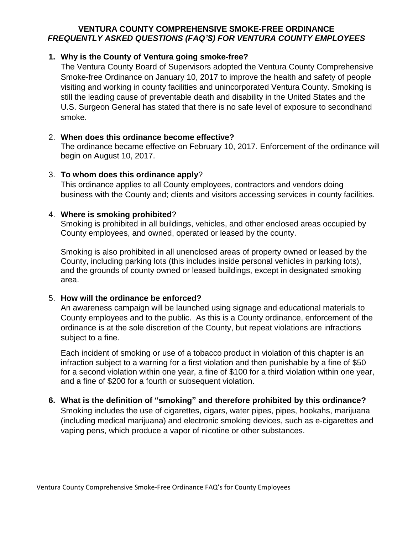#### **VENTURA COUNTY COMPREHENSIVE SMOKE-FREE ORDINANCE** *FREQUENTLY ASKED QUESTIONS (FAQ'S) FOR VENTURA COUNTY EMPLOYEES*

## **1. Why is the County of Ventura going smoke-free?**

The Ventura County Board of Supervisors adopted the Ventura County Comprehensive Smoke-free Ordinance on January 10, 2017 to improve the health and safety of people visiting and working in county facilities and unincorporated Ventura County. Smoking is still the leading cause of preventable death and disability in the United States and the U.S. Surgeon General has stated that there is no safe level of exposure to secondhand smoke.

#### 2. **When does this ordinance become effective?**

The ordinance became effective on February 10, 2017. Enforcement of the ordinance will begin on August 10, 2017.

## 3. **To whom does this ordinance apply**?

This ordinance applies to all County employees, contractors and vendors doing business with the County and; clients and visitors accessing services in county facilities.

## 4. **Where is smoking prohibited**?

Smoking is prohibited in all buildings, vehicles, and other enclosed areas occupied by County employees, and owned, operated or leased by the county.

Smoking is also prohibited in all unenclosed areas of property owned or leased by the County, including parking lots (this includes inside personal vehicles in parking lots), and the grounds of county owned or leased buildings, except in designated smoking area.

#### 5. **How will the ordinance be enforced?**

An awareness campaign will be launched using signage and educational materials to County employees and to the public. As this is a County ordinance, enforcement of the ordinance is at the sole discretion of the County, but repeat violations are infractions subject to a fine.

Each incident of smoking or use of a tobacco product in violation of this chapter is an infraction subject to a warning for a first violation and then punishable by a fine of \$50 for a second violation within one year, a fine of \$100 for a third violation within one year, and a fine of \$200 for a fourth or subsequent violation.

#### **6. What is the definition of "smoking" and therefore prohibited by this ordinance?**  Smoking includes the use of cigarettes, cigars, water pipes, pipes, hookahs, marijuana (including medical marijuana) and electronic smoking devices, such as e-cigarettes and vaping pens, which produce a vapor of nicotine or other substances.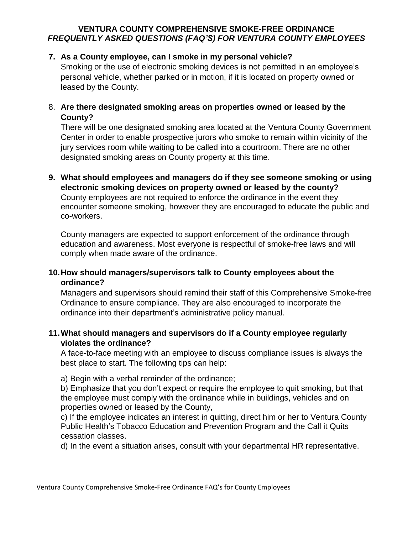## **VENTURA COUNTY COMPREHENSIVE SMOKE-FREE ORDINANCE** *FREQUENTLY ASKED QUESTIONS (FAQ'S) FOR VENTURA COUNTY EMPLOYEES*

## **7. As a County employee, can I smoke in my personal vehicle?**

Smoking or the use of electronic smoking devices is not permitted in an employee's personal vehicle, whether parked or in motion, if it is located on property owned or leased by the County.

## 8. **Are there designated smoking areas on properties owned or leased by the County?**

There will be one designated smoking area located at the Ventura County Government Center in order to enable prospective jurors who smoke to remain within vicinity of the jury services room while waiting to be called into a courtroom. There are no other designated smoking areas on County property at this time.

**9. What should employees and managers do if they see someone smoking or using electronic smoking devices on property owned or leased by the county?**  County employees are not required to enforce the ordinance in the event they encounter someone smoking, however they are encouraged to educate the public and co-workers.

County managers are expected to support enforcement of the ordinance through education and awareness. Most everyone is respectful of smoke-free laws and will comply when made aware of the ordinance.

## **10.How should managers/supervisors talk to County employees about the ordinance?**

Managers and supervisors should remind their staff of this Comprehensive Smoke-free Ordinance to ensure compliance. They are also encouraged to incorporate the ordinance into their department's administrative policy manual.

## **11.What should managers and supervisors do if a County employee regularly violates the ordinance?**

A face-to-face meeting with an employee to discuss compliance issues is always the best place to start. The following tips can help:

a) Begin with a verbal reminder of the ordinance;

b) Emphasize that you don't expect or require the employee to quit smoking, but that the employee must comply with the ordinance while in buildings, vehicles and on properties owned or leased by the County,

c) If the employee indicates an interest in quitting, direct him or her to Ventura County Public Health's Tobacco Education and Prevention Program and the Call it Quits cessation classes.

d) In the event a situation arises, consult with your departmental HR representative.